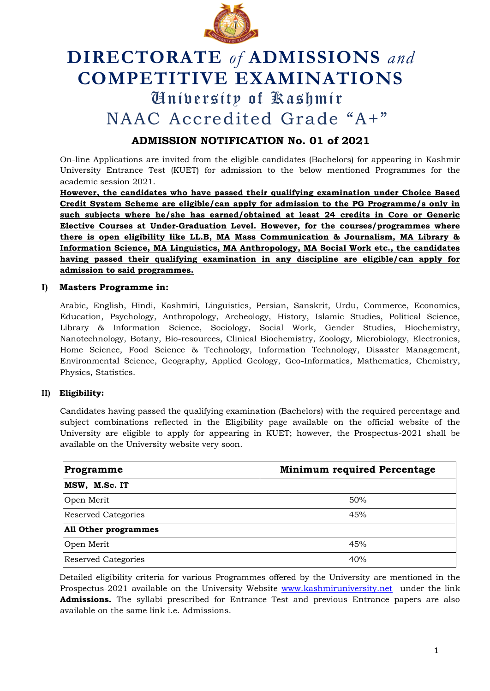

# **DIRECTORATE** *of* **ADMISSIONS** *and* **COMPETITIVE EXAMINATIONS** University of Kashmir NAAC Accredited Grade "A+"

# **ADMISSION NOTIFICATION No. 01 of 2021**

On-line Applications are invited from the eligible candidates (Bachelors) for appearing in Kashmir University Entrance Test (KUET) for admission to the below mentioned Programmes for the academic session 2021.

**However, the candidates who have passed their qualifying examination under Choice Based Credit System Scheme are eligible/can apply for admission to the PG Programme/s only in such subjects where he/she has earned/obtained at least 24 credits in Core or Generic Elective Courses at Under-Graduation Level. However, for the courses/programmes where there is open eligibility like LL.B, MA Mass Communication & Journalism, MA Library & Information Science, MA Linguistics, MA Anthropology, MA Social Work etc., the candidates having passed their qualifying examination in any discipline are eligible/can apply for admission to said programmes.**

## **I) Masters Programme in:**

Arabic, English, Hindi, Kashmiri, Linguistics, Persian, Sanskrit, Urdu, Commerce, Economics, Education, Psychology, Anthropology, Archeology, History, Islamic Studies, Political Science, Library & Information Science, Sociology, Social Work, Gender Studies, Biochemistry, Nanotechnology, Botany, Bio-resources, Clinical Biochemistry, Zoology, Microbiology, Electronics, Home Science, Food Science & Technology, Information Technology, Disaster Management, Environmental Science, Geography, Applied Geology, Geo-Informatics, Mathematics, Chemistry, Physics, Statistics.

# **II) Eligibility:**

Candidates having passed the qualifying examination (Bachelors) with the required percentage and subject combinations reflected in the Eligibility page available on the official website of the University are eligible to apply for appearing in KUET; however, the Prospectus-2021 shall be available on the University website very soon.

| Programme                   | <b>Minimum required Percentage</b> |
|-----------------------------|------------------------------------|
| MSW, M.Sc. IT               |                                    |
| Open Merit                  | 50%                                |
| <b>Reserved Categories</b>  | 45%                                |
| <b>All Other programmes</b> |                                    |
| Open Merit                  | 45%                                |
| <b>Reserved Categories</b>  | 40%                                |

Detailed eligibility criteria for various Programmes offered by the University are mentioned in the Prospectus-2021 available on the University Website [www.kashmiruniversity.net](http://www.kashmiruniversity.net/) under the link **Admissions.** The syllabi prescribed for Entrance Test and previous Entrance papers are also available on the same link i.e. Admissions.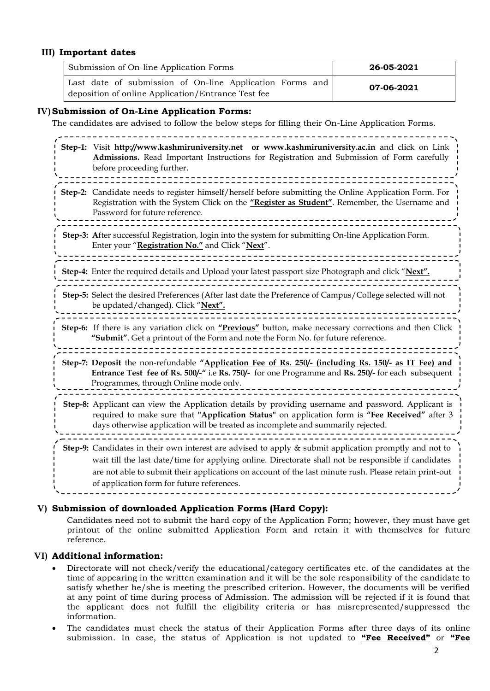## **III) Important dates**

| Submission of On-line Application Forms                                                                        | 26-05-2021 |
|----------------------------------------------------------------------------------------------------------------|------------|
| Last date of submission of On-line Application Forms and<br>deposition of online Application/Entrance Test fee | 07-06-2021 |

#### **IV)Submission of On-Line Application Forms:**

The candidates are advised to follow the below steps for filling their On-Line Application Forms.

| Step-1: Visit http://www.kashmiruniversity.net or www.kashmiruniversity.ac.in and click on Link<br>Admissions. Read Important Instructions for Registration and Submission of Form carefully<br>before proceeding further.                                                                                                                                            |
|-----------------------------------------------------------------------------------------------------------------------------------------------------------------------------------------------------------------------------------------------------------------------------------------------------------------------------------------------------------------------|
| Step-2: Candidate needs to register himself/herself before submitting the Online Application Form. For<br>Registration with the System Click on the "Register as Student". Remember, the Username and<br>Password for future reference.                                                                                                                               |
| Step-3: After successful Registration, login into the system for submitting On-line Application Form.<br>Enter your "Registration No." and Click "Next".                                                                                                                                                                                                              |
| Step-4: Enter the required details and Upload your latest passport size Photograph and click "Next".                                                                                                                                                                                                                                                                  |
| Step-5: Select the desired Preferences (After last date the Preference of Campus/College selected will not<br>be updated/changed). Click "Next".                                                                                                                                                                                                                      |
| Step-6: If there is any variation click on "Previous" button, make necessary corrections and then Click<br>"Submit". Get a printout of the Form and note the Form No. for future reference.                                                                                                                                                                           |
| Step-7: Deposit the non-refundable "Application Fee of Rs. 250/- (including Rs. 150/- as IT Fee) and<br>Entrance Test fee of Rs. 500/ <sub>1</sub> " i.e Rs. 750/- for one Programme and Rs. 250/- for each subsequent<br>Programmes, through Online mode only.                                                                                                       |
| Step-8: Applicant can view the Application details by providing username and password. Applicant is<br>required to make sure that "Application Status" on application form is "Fee Received" after 3<br>days otherwise application will be treated as incomplete and summarily rejected.                                                                              |
| Step-9: Candidates in their own interest are advised to apply & submit application promptly and not to<br>wait till the last date/time for applying online. Directorate shall not be responsible if candidates<br>are not able to submit their applications on account of the last minute rush. Please retain print-out<br>of application form for future references. |

#### **V) Submission of downloaded Application Forms (Hard Copy):**

Candidates need not to submit the hard copy of the Application Form; however, they must have get printout of the online submitted Application Form and retain it with themselves for future reference.

#### **VI) Additional information:**

<u> 222222222</u>

- Directorate will not check/verify the educational/category certificates etc. of the candidates at the time of appearing in the written examination and it will be the sole responsibility of the candidate to satisfy whether he/she is meeting the prescribed criterion. However, the documents will be verified at any point of time during process of Admission. The admission will be rejected if it is found that the applicant does not fulfill the eligibility criteria or has misrepresented/suppressed the information.
- The candidates must check the status of their Application Forms after three days of its online submission. In case, the status of Application is not updated to **"Fee Received"** or **"Fee**